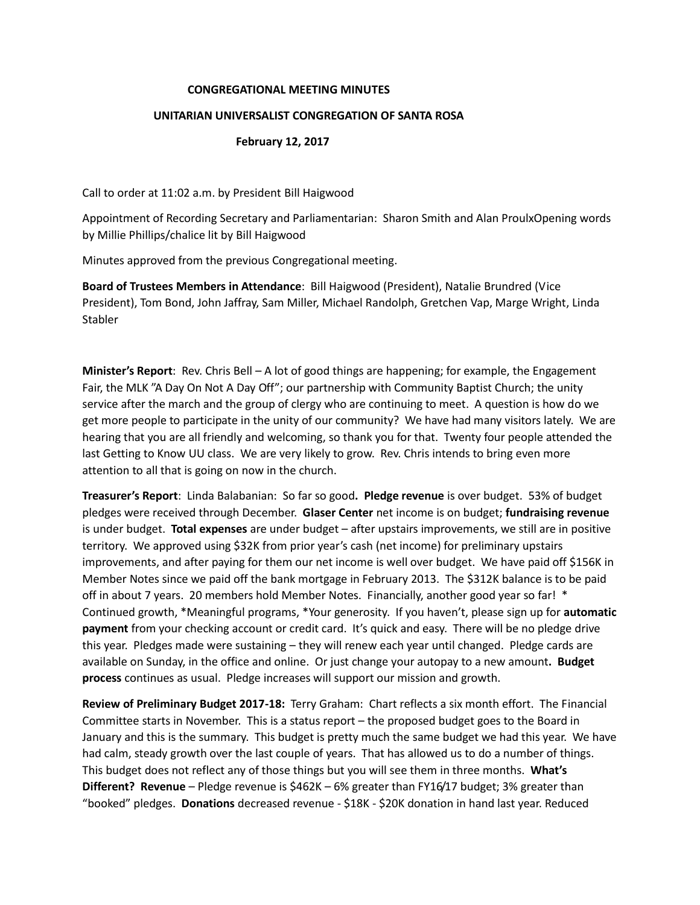## **CONGREGATIONAL MEETING MINUTES**

## **UNITARIAN UNIVERSALIST CONGREGATION OF SANTA ROSA**

## **February 12, 2017**

Call to order at 11:02 a.m. by President Bill Haigwood

Appointment of Recording Secretary and Parliamentarian: Sharon Smith and Alan ProulxOpening words by Millie Phillips/chalice lit by Bill Haigwood

Minutes approved from the previous Congregational meeting.

**Board of Trustees Members in Attendance**: Bill Haigwood (President), Natalie Brundred (Vice President), Tom Bond, John Jaffray, Sam Miller, Michael Randolph, Gretchen Vap, Marge Wright, Linda Stabler

**Minister's Report**: Rev. Chris Bell – A lot of good things are happening; for example, the Engagement Fair, the MLK "A Day On Not A Day Off"; our partnership with Community Baptist Church; the unity service after the march and the group of clergy who are continuing to meet. A question is how do we get more people to participate in the unity of our community? We have had many visitors lately. We are hearing that you are all friendly and welcoming, so thank you for that. Twenty four people attended the last Getting to Know UU class. We are very likely to grow. Rev. Chris intends to bring even more attention to all that is going on now in the church.

**Treasurer's Report**: Linda Balabanian: So far so good**. Pledge revenue** is over budget. 53% of budget pledges were received through December. **Glaser Center** net income is on budget; **fundraising revenue** is under budget. **Total expenses** are under budget – after upstairs improvements, we still are in positive territory. We approved using \$32K from prior year's cash (net income) for preliminary upstairs improvements, and after paying for them our net income is well over budget. We have paid off \$156K in Member Notes since we paid off the bank mortgage in February 2013. The \$312K balance is to be paid off in about 7 years. 20 members hold Member Notes. Financially, another good year so far! \* Continued growth, \*Meaningful programs, \*Your generosity. If you haven't, please sign up for **automatic payment** from your checking account or credit card. It's quick and easy. There will be no pledge drive this year. Pledges made were sustaining – they will renew each year until changed. Pledge cards are available on Sunday, in the office and online. Or just change your autopay to a new amount**. Budget process** continues as usual. Pledge increases will support our mission and growth.

**Review of Preliminary Budget 2017-18:** Terry Graham: Chart reflects a six month effort. The Financial Committee starts in November. This is a status report – the proposed budget goes to the Board in January and this is the summary. This budget is pretty much the same budget we had this year. We have had calm, steady growth over the last couple of years. That has allowed us to do a number of things. This budget does not reflect any of those things but you will see them in three months. **What's Different? Revenue** – Pledge revenue is \$462K – 6% greater than FY16/17 budget; 3% greater than "booked" pledges. **Donations** decreased revenue - \$18K - \$20K donation in hand last year. Reduced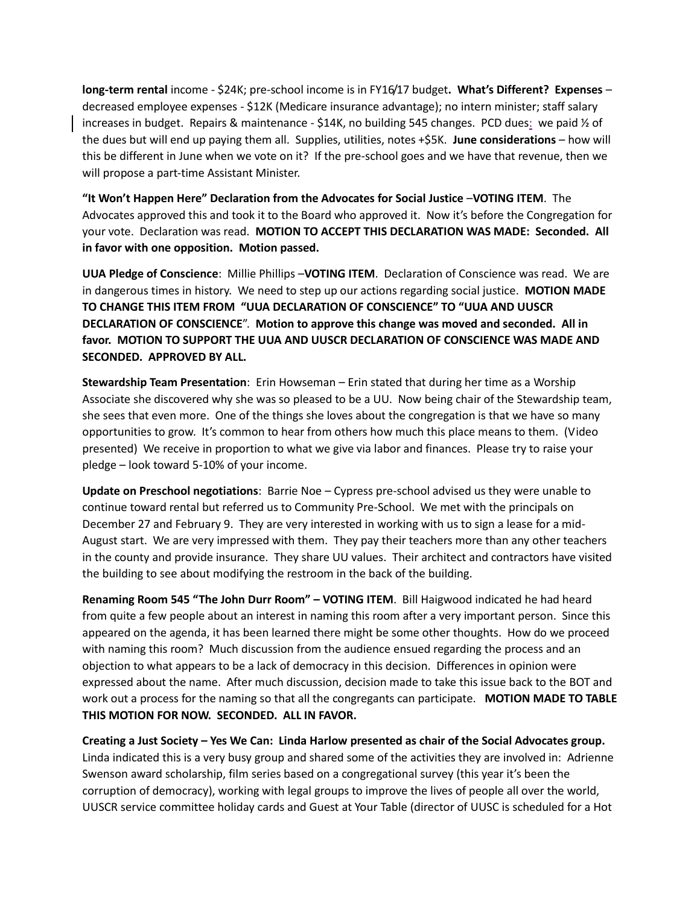**long-term rental** income - \$24K; pre-school income is in FY16/17 budget**. What's Different? Expenses** – decreased employee expenses - \$12K (Medicare insurance advantage); no intern minister; staff salary increases in budget. Repairs & maintenance - \$14K, no building 545 changes. PCD dues: we paid ½ of the dues but will end up paying them all. Supplies, utilities, notes +\$5K. **June considerations** – how will this be different in June when we vote on it? If the pre-school goes and we have that revenue, then we will propose a part-time Assistant Minister.

**"It Won't Happen Here" Declaration from the Advocates for Social Justice** –**VOTING ITEM**. The Advocates approved this and took it to the Board who approved it. Now it's before the Congregation for your vote. Declaration was read. **MOTION TO ACCEPT THIS DECLARATION WAS MADE: Seconded. All in favor with one opposition. Motion passed.** 

**UUA Pledge of Conscience**: Millie Phillips –**VOTING ITEM**. Declaration of Conscience was read. We are in dangerous times in history. We need to step up our actions regarding social justice. **MOTION MADE TO CHANGE THIS ITEM FROM "UUA DECLARATION OF CONSCIENCE" TO "UUA AND UUSCR DECLARATION OF CONSCIENCE**". **Motion to approve this change was moved and seconded. All in favor. MOTION TO SUPPORT THE UUA AND UUSCR DECLARATION OF CONSCIENCE WAS MADE AND SECONDED. APPROVED BY ALL.**

**Stewardship Team Presentation**: Erin Howseman – Erin stated that during her time as a Worship Associate she discovered why she was so pleased to be a UU. Now being chair of the Stewardship team, she sees that even more. One of the things she loves about the congregation is that we have so many opportunities to grow. It's common to hear from others how much this place means to them. (Video presented) We receive in proportion to what we give via labor and finances. Please try to raise your pledge – look toward 5-10% of your income.

**Update on Preschool negotiations**: Barrie Noe – Cypress pre-school advised us they were unable to continue toward rental but referred us to Community Pre-School. We met with the principals on December 27 and February 9. They are very interested in working with us to sign a lease for a mid-August start. We are very impressed with them. They pay their teachers more than any other teachers in the county and provide insurance. They share UU values. Their architect and contractors have visited the building to see about modifying the restroom in the back of the building.

**Renaming Room 545 "The John Durr Room" – VOTING ITEM**. Bill Haigwood indicated he had heard from quite a few people about an interest in naming this room after a very important person. Since this appeared on the agenda, it has been learned there might be some other thoughts. How do we proceed with naming this room? Much discussion from the audience ensued regarding the process and an objection to what appears to be a lack of democracy in this decision. Differences in opinion were expressed about the name. After much discussion, decision made to take this issue back to the BOT and work out a process for the naming so that all the congregants can participate. **MOTION MADE TO TABLE THIS MOTION FOR NOW. SECONDED. ALL IN FAVOR.** 

**Creating a Just Society – Yes We Can: Linda Harlow presented as chair of the Social Advocates group.**  Linda indicated this is a very busy group and shared some of the activities they are involved in: Adrienne Swenson award scholarship, film series based on a congregational survey (this year it's been the corruption of democracy), working with legal groups to improve the lives of people all over the world, UUSCR service committee holiday cards and Guest at Your Table (director of UUSC is scheduled for a Hot